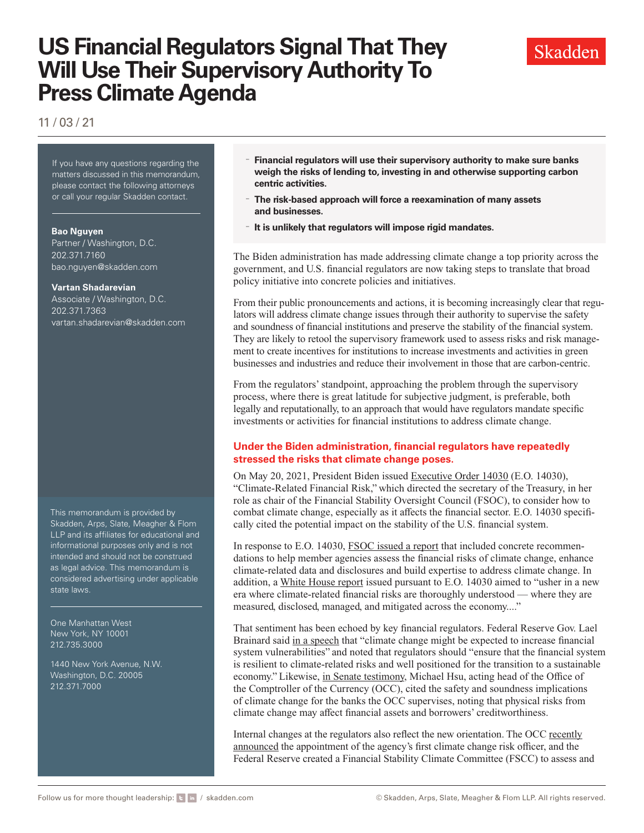# **US Financial Regulators Signal That They Will Use Their Supervisory Authority To Press Climate Agenda**



11 / 03 / 21

If you have any questions regarding the matters discussed in this memorandum, please contact the following attorneys or call your regular Skadden contact.

#### **Bao Nguyen**

Partner / Washington, D.C. 202.371.7160 [bao.nguyen@skadden.com](mailto: bao.nguyen@skadden.com)

#### **Vartan Shadarevian**

Associate / Washington, D.C. 202.371.7363 [vartan.shadarevian@skadden.com](mailto: vartan.shadarevian@skadden.com)

This memorandum is provided by Skadden, Arps, Slate, Meagher & Flom LLP and its affiliates for educational and informational purposes only and is not intended and should not be construed as legal advice. This memorandum is considered advertising under applicable state laws.

One Manhattan West New York, NY 10001 212.735.3000

1440 New York Avenue, N.W. Washington, D.C. 20005 212.371.7000

- **Financial regulators will use their supervisory authority to make sure banks weigh the risks of lending to, investing in and otherwise supporting carbon centric activities.**
- **The risk-based approach will force a reexamination of many assets and businesses.**
- **It is unlikely that regulators will impose rigid mandates.**

The Biden administration has made addressing climate change a top priority across the government, and U.S. financial regulators are now taking steps to translate that broad policy initiative into concrete policies and initiatives.

From their public pronouncements and actions, it is becoming increasingly clear that regulators will address climate change issues through their authority to supervise the safety and soundness of financial institutions and preserve the stability of the financial system. They are likely to retool the supervisory framework used to assess risks and risk management to create incentives for institutions to increase investments and activities in green businesses and industries and reduce their involvement in those that are carbon-centric.

From the regulators' standpoint, approaching the problem through the supervisory process, where there is great latitude for subjective judgment, is preferable, both legally and reputationally, to an approach that would have regulators mandate specific investments or activities for financial institutions to address climate change.

### **Under the Biden administration, financial regulators have repeatedly stressed the risks that climate change poses.**

On May 20, 2021, President Biden issued E[xecutive Order 14030](https://www.federalregister.gov/documents/2021/05/25/2021-11168/climate-related-financial-risk) (E.O. 14030), "Climate-Related Financial Risk," which directed the secretary of the Treasury, in her role as chair of the Financial Stability Oversight Council (FSOC), to consider how to combat climate change, especially as it affects the financial sector. E.O. 14030 specifically cited the potential impact on the stability of the U.S. financial system.

In response to E.O. 14030, [FSOC issued a report](https://home.treasury.gov/news/press-releases/jy0426) that included concrete recommendations to help member agencies assess the financial risks of climate change, enhance climate-related data and disclosures and build expertise to address climate change. In addition, a [White House report](https://www.skadden.com/-/media/Files/Publications/2021/11/US-Financial-Regulators-Signal-That-They-Will-Use-Their-Supervisory-Authority/White-House-report.pdf) issued pursuant to E.O. 14030 aimed to "usher in a new era where climate-related financial risks are thoroughly understood — where they are measured, disclosed, managed, and mitigated across the economy...."

That sentiment has been echoed by key financial regulators. Federal Reserve Gov. Lael Brainard said [in a speech](https://www.federalreserve.gov/newsevents/speech/brainard20210323a.htm) that "climate change might be expected to increase financial system vulnerabilities" and noted that regulators should "ensure that the financial system is resilient to climate-related risks and well positioned for the transition to a sustainable economy." Likewise, [in Senate testimony,](https://www.skadden.com/-/media/Files/Publications/2021/11/US-Financial-Regulators-Signal-That-They-Will-Use-Their-Supervisory-Authority/Senate-testimony.pdf) Michael Hsu, acting head of the Office of the Comptroller of the Currency (OCC), cited the safety and soundness implications of climate change for the banks the OCC supervises, noting that physical risks from climate change may affect financial assets and borrowers' creditworthiness.

Internal changes at the regulators also reflect the new orientation. The OCC [recently](https://www.occ.gov/news-issuances/news-releases/2021/nr-occ-2021-78.html) [announced](https://www.occ.gov/news-issuances/news-releases/2021/nr-occ-2021-78.html) the appointment of the agency's first climate change risk officer, and the Federal Reserve created a Financial Stability Climate Committee (FSCC) to assess and